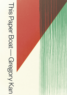## This Paper Boat - Gregory Kan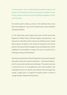**In these poems, rich in understatedly beautiful imagery, two authors, their families and their many ghosts navigate oceans, forests, gardens and houses in New Zealand, Singapore, China, and in dreams.**

*My mother used to make up stories in the darkness that no one knew the endings to. It was a kind of permission to have imperfect and beautiful plans.*

In *This Paper Boat*, poet Gregory Kan traces the life and written fragments of Robin Hyde, vivid with imagery and impression – the tide pool at Island Bay and its shrimp, the driftwood and crushed lemon leaves. He listens to the stories of his parents and of their parents, the eels and milk, frangipani trees and barbed wire of their childhoods. He remembers a jungle of his own; he searches for a friend gone astray; he finds ghosts.

Entwined as narrative but reft with fragments, these poems examine the public and private rituals of institutions – martial and medical – and of communities, families and individuals. The author discovers a world driven by its incompleteness and constructability, with irreparable fractures in identity and material, time and space. But overall, a 'paper boat' is a fragile but hopeful vehicle in which to voyage towards change and forgiveness.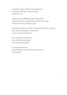Outside the square of land you last appeared on seventy-five years ago, I pretend to busy my phone. I am

taking in the way Wellington had to force itself upwards to meet you, who always seemed to be waiting at the top of stairs. At the gate, I peer

into the front garden, my back to the bend of the road, a position from which no passing car or pedestrian can see me. You can be found.

I have to hear you to keep you here, and I have to keep you here to keep coming back.

It is sometimes the least personal thing, to want to renew one's openness to the outside.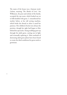The name of the house was a Samoan word, *Laloma*, meaning 'The Abode of Love'. Iris Wilkinson, the poet and scholar of the family, occupied the top room, which looked out on to hills kindled with gorse. I. remembered her mother below, at her old sewing machine, which broke the thread so often it taxed her patience. Her children's frocks were always the prettiest, though her sight had begun to blur behind her spectacles. Young seedlings grow up through the adult gorse, cutting out its light and eventually replacing it. Most methods of destroying adult gorse plants have been found to create the ideal conditions for gorse seeds to germinate.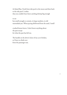At Island Bay, I look from tide pool to the moon and then back to the tide pool. I realise that you couldn't have been catching shrimp big enough

## to eat

but small enough to contain, in large numbers, in old marmalade jars. When prying driftwood from the sand, I smell

crushed lemon leaves. I don't know anything about the past except for what the past has left me.

The handle on the driver's door of my car is broken, so I have to climb over from the passenger seat.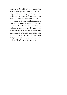Origin of *garden*: Middle English *gardin*, from Anglo-French *gardin*, *jardin*, of Germanic origin; akin to Old High German *gart* – an enclosure. The words *yard*, *court* and Latin *hortus* all refer to an enclosed space. Love has to be kept away from the world. After meeting him for the first time, I. watched Harry leave the garden through a hole in the back fence, under the ngaio tree. She stood crumpling the pale lemon leaves in her fingers, their scent creeping out into the skin of her palms. The stream came down in a waterfall, to a pool nearly six feet deep. There was a huge boulder in the middle of it, where she could sit.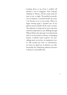Looking down at my boots I couldn't tell whether I was in Singapore, New Zealand, Thailand or Brunei. All dirt tracks look the same to me, at night. The gradual accumulation of sediment. Crouched beside the track, I ate biscuits to try to stay awake. When we began moving again I watched one of my platoon-mates stumble off the track, in sleep. The sediment is compacted as more and more material is deposited on top. Walking through Wilton's Bush a few days ago I was disoriented when I cut my hand on a thorny, overhanging branch. I realised I had no gloves. No camouflage paint on my face, no equipment vest, no rifle around my neck, no ammunition, no water, no signal set, no platoon, no rank. Eventually the underlying sediment becomes so dense it is essentially rock.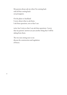My parents always ask me when I'm coming back with all that coming back can presuppose.

On the plane to Auckland I worry about what to ask them. I ask these questions, not so that I can

write, but I write so that I can ask these questions. I worry that my parents' answers are just another thing that I will be taking from them.

The two men sitting next to me discuss the construction and regulation of fences.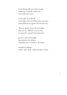At the dining table my mother speaks readily but I wish she would trust her recollections more.

As she talks, she looks off to the right, where her Bible study notes have amassed like leaves against the roots of a tree.

There are details I know she has hidden from me. It is difficult to see my time as removed or separate from that of my

parents'. I draw the boughs downwards in the thickets behind her eyes. A verbal tic, she cycles

through my siblings' names – Joel, Sarah – before she gets to mine.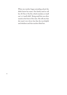When my mother began attending school she didn't know her name. Her family used to call her *Ah Nia* or *Nia Kia*, which translate as 'small one' or 'small child'. Being small she was often seated at the front of the class. She tells me that she wasn't very clever, but that she was helpful and obedient and that teachers liked her.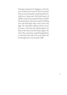Drainage is important in Singapore, and at the time no drains were covered. There was a drain that ran across her garden, emptying itself eventually into a large canal. She heard reports of children swept away in periods of heavy rainfall. She doesn't know where the canal led. Drifting trees and dead dogs when water levels were high. She remembers talking with her sisters for hours, with their feet pushed against one bank of the drain and their backs against the other. They sometimes crawled through drains to reach the other side of the road, below the increasingly heavy and unsteady traffic.